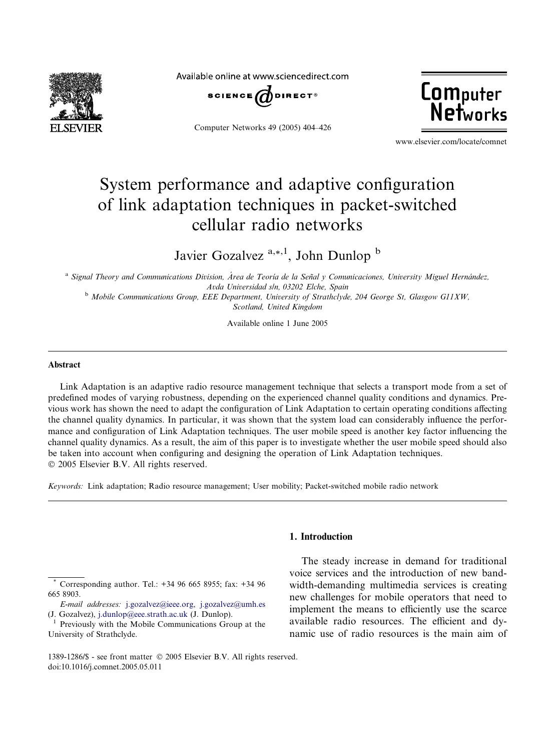

Available online at www.sciencedirect.com



Computer Networks 49 (2005) 404–426



www.elsevier.com/locate/comnet

# System performance and adaptive configuration of link adaptation techniques in packet-switched cellular radio networks

Javier Gozalvez  $a_{n+1}$ , John Dunlop  $b$ 

<sup>a</sup> Signal Theory and Communications Division, Área de Teoría de la Señal y Comunicaciones, University Miguel Hernández, Avda Universidad s/n, 03202 Elche, Spain

<sup>b</sup> Mobile Communications Group, EEE Department, University of Strathclyde, 204 George St, Glasgow G11XW, Scotland, United Kingdom

Available online 1 June 2005

#### Abstract

Link Adaptation is an adaptive radio resource management technique that selects a transport mode from a set of predefined modes of varying robustness, depending on the experienced channel quality conditions and dynamics. Previous work has shown the need to adapt the configuration of Link Adaptation to certain operating conditions affecting the channel quality dynamics. In particular, it was shown that the system load can considerably influence the performance and configuration of Link Adaptation techniques. The user mobile speed is another key factor influencing the channel quality dynamics. As a result, the aim of this paper is to investigate whether the user mobile speed should also be taken into account when configuring and designing the operation of Link Adaptation techniques. 2005 Elsevier B.V. All rights reserved.

Keywords: Link adaptation; Radio resource management; User mobility; Packet-switched mobile radio network

Corresponding author. Tel.: +34 96 665 8955; fax: +34 96 665 8903.

## 1. Introduction

The steady increase in demand for traditional voice services and the introduction of new bandwidth-demanding multimedia services is creating new challenges for mobile operators that need to implement the means to efficiently use the scarce available radio resources. The efficient and dynamic use of radio resources is the main aim of

E-mail addresses: [j.gozalvez@ieee.org](mailto:j.gozalvez@ieee.org), [j.gozalvez@umh.es](mailto:j.gozalvez@umh.es) (J. Gozalvez), [j.dunlop@eee.strath.ac.uk](mailto:j.dunlop@eee.strath.ac.uk) (J. Dunlop).<br><sup>1</sup> Previously with the Mobile Communications Group at the

University of Strathclyde.

<sup>1389-1286/\$ -</sup> see front matter 2005 Elsevier B.V. All rights reserved. doi:10.1016/j.comnet.2005.05.011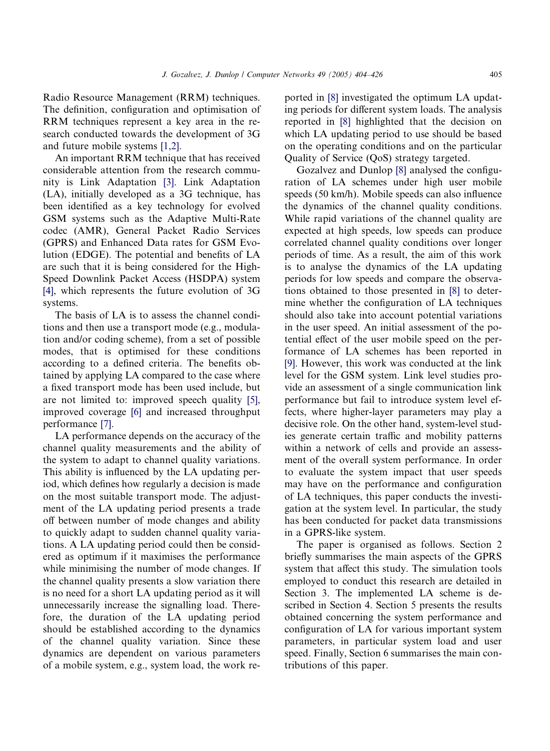Radio Resource Management (RRM) techniques. The definition, configuration and optimisation of RRM techniques represent a key area in the research conducted towards the development of 3G and future mobile systems [\[1,2\]](#page-20-0).

An important RRM technique that has received considerable attention from the research community is Link Adaptation [\[3\]](#page-21-0). Link Adaptation (LA), initially developed as a 3G technique, has been identified as a key technology for evolved GSM systems such as the Adaptive Multi-Rate codec (AMR), General Packet Radio Services (GPRS) and Enhanced Data rates for GSM Evolution (EDGE). The potential and benefits of LA are such that it is being considered for the High-Speed Downlink Packet Access (HSDPA) system [\[4\],](#page-21-0) which represents the future evolution of 3G systems.

The basis of LA is to assess the channel conditions and then use a transport mode (e.g., modulation and/or coding scheme), from a set of possible modes, that is optimised for these conditions according to a defined criteria. The benefits obtained by applying LA compared to the case where a fixed transport mode has been used include, but are not limited to: improved speech quality [\[5\]](#page-21-0), improved coverage [\[6\]](#page-21-0) and increased throughput performance [\[7\]](#page-21-0).

LA performance depends on the accuracy of the channel quality measurements and the ability of the system to adapt to channel quality variations. This ability is influenced by the LA updating period, which defines how regularly a decision is made on the most suitable transport mode. The adjustment of the LA updating period presents a trade off between number of mode changes and ability to quickly adapt to sudden channel quality variations. A LA updating period could then be considered as optimum if it maximises the performance while minimising the number of mode changes. If the channel quality presents a slow variation there is no need for a short LA updating period as it will unnecessarily increase the signalling load. Therefore, the duration of the LA updating period should be established according to the dynamics of the channel quality variation. Since these dynamics are dependent on various parameters of a mobile system, e.g., system load, the work reported in [\[8\]](#page-21-0) investigated the optimum LA updating periods for different system loads. The analysis reported in [\[8\]](#page-21-0) highlighted that the decision on which LA updating period to use should be based on the operating conditions and on the particular Quality of Service (QoS) strategy targeted.

Gozalvez and Dunlop [\[8\]](#page-21-0) analysed the configuration of LA schemes under high user mobile speeds (50 km/h). Mobile speeds can also influence the dynamics of the channel quality conditions. While rapid variations of the channel quality are expected at high speeds, low speeds can produce correlated channel quality conditions over longer periods of time. As a result, the aim of this work is to analyse the dynamics of the LA updating periods for low speeds and compare the observations obtained to those presented in [\[8\]](#page-21-0) to determine whether the configuration of LA techniques should also take into account potential variations in the user speed. An initial assessment of the potential effect of the user mobile speed on the performance of LA schemes has been reported in [\[9\]](#page-21-0). However, this work was conducted at the link level for the GSM system. Link level studies provide an assessment of a single communication link performance but fail to introduce system level effects, where higher-layer parameters may play a decisive role. On the other hand, system-level studies generate certain traffic and mobility patterns within a network of cells and provide an assessment of the overall system performance. In order to evaluate the system impact that user speeds may have on the performance and configuration of LA techniques, this paper conducts the investigation at the system level. In particular, the study has been conducted for packet data transmissions in a GPRS-like system.

The paper is organised as follows. Section 2 briefly summarises the main aspects of the GPRS system that affect this study. The simulation tools employed to conduct this research are detailed in Section 3. The implemented LA scheme is described in Section 4. Section 5 presents the results obtained concerning the system performance and configuration of LA for various important system parameters, in particular system load and user speed. Finally, Section 6 summarises the main contributions of this paper.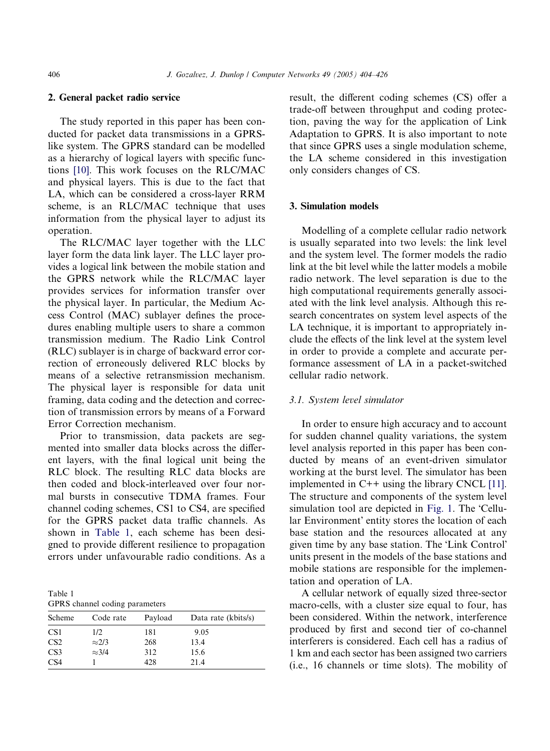#### 2. General packet radio service

The study reported in this paper has been conducted for packet data transmissions in a GPRSlike system. The GPRS standard can be modelled as a hierarchy of logical layers with specific functions [\[10\]](#page-21-0). This work focuses on the RLC/MAC and physical layers. This is due to the fact that LA, which can be considered a cross-layer RRM scheme, is an RLC/MAC technique that uses information from the physical layer to adjust its operation.

The RLC/MAC layer together with the LLC layer form the data link layer. The LLC layer provides a logical link between the mobile station and the GPRS network while the RLC/MAC layer provides services for information transfer over the physical layer. In particular, the Medium Access Control (MAC) sublayer defines the procedures enabling multiple users to share a common transmission medium. The Radio Link Control (RLC) sublayer is in charge of backward error correction of erroneously delivered RLC blocks by means of a selective retransmission mechanism. The physical layer is responsible for data unit framing, data coding and the detection and correction of transmission errors by means of a Forward Error Correction mechanism.

Prior to transmission, data packets are segmented into smaller data blocks across the different layers, with the final logical unit being the RLC block. The resulting RLC data blocks are then coded and block-interleaved over four normal bursts in consecutive TDMA frames. Four channel coding schemes, CS1 to CS4, are specified for the GPRS packet data traffic channels. As shown in Table 1, each scheme has been designed to provide different resilience to propagation errors under unfavourable radio conditions. As a

Table 1 GPRS channel coding parameters

| Scheme          | Code rate     | Payload | Data rate (kbits/s) |
|-----------------|---------------|---------|---------------------|
| CS <sub>1</sub> | 1/2           | 181     | 9.05                |
| CS <sub>2</sub> | $\approx$ 2/3 | 268     | 13.4                |
| CS <sub>3</sub> | $\approx 3/4$ | 312     | 15.6                |
| CS <sub>4</sub> |               | 428     | 21.4                |

result, the different coding schemes (CS) offer a trade-off between throughput and coding protection, paving the way for the application of Link Adaptation to GPRS. It is also important to note that since GPRS uses a single modulation scheme, the LA scheme considered in this investigation only considers changes of CS.

## 3. Simulation models

Modelling of a complete cellular radio network is usually separated into two levels: the link level and the system level. The former models the radio link at the bit level while the latter models a mobile radio network. The level separation is due to the high computational requirements generally associated with the link level analysis. Although this research concentrates on system level aspects of the LA technique, it is important to appropriately include the effects of the link level at the system level in order to provide a complete and accurate performance assessment of LA in a packet-switched cellular radio network.

#### 3.1. System level simulator

In order to ensure high accuracy and to account for sudden channel quality variations, the system level analysis reported in this paper has been conducted by means of an event-driven simulator working at the burst level. The simulator has been implemented in C++ using the library CNCL [\[11\]](#page-21-0). The structure and components of the system level simulation tool are depicted in [Fig. 1.](#page-3-0) The 'Cellular Environment' entity stores the location of each base station and the resources allocated at any given time by any base station. The Link Control units present in the models of the base stations and mobile stations are responsible for the implementation and operation of LA.

A cellular network of equally sized three-sector macro-cells, with a cluster size equal to four, has been considered. Within the network, interference produced by first and second tier of co-channel interferers is considered. Each cell has a radius of 1 km and each sector has been assigned two carriers (i.e., 16 channels or time slots). The mobility of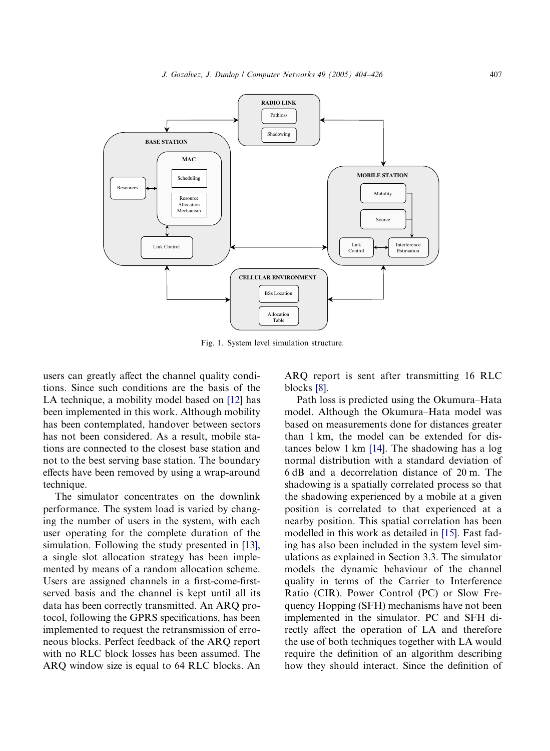<span id="page-3-0"></span>

Fig. 1. System level simulation structure.

users can greatly affect the channel quality conditions. Since such conditions are the basis of the LA technique, a mobility model based on [\[12\]](#page-21-0) has been implemented in this work. Although mobility has been contemplated, handover between sectors has not been considered. As a result, mobile stations are connected to the closest base station and not to the best serving base station. The boundary effects have been removed by using a wrap-around technique.

The simulator concentrates on the downlink performance. The system load is varied by changing the number of users in the system, with each user operating for the complete duration of the simulation. Following the study presented in [\[13\]](#page-21-0), a single slot allocation strategy has been implemented by means of a random allocation scheme. Users are assigned channels in a first-come-firstserved basis and the channel is kept until all its data has been correctly transmitted. An ARQ protocol, following the GPRS specifications, has been implemented to request the retransmission of erroneous blocks. Perfect feedback of the ARQ report with no RLC block losses has been assumed. The ARQ window size is equal to 64 RLC blocks. An

ARQ report is sent after transmitting 16 RLC blocks [\[8\].](#page-21-0)

Path loss is predicted using the Okumura–Hata model. Although the Okumura–Hata model was based on measurements done for distances greater than 1 km, the model can be extended for distances below 1 km [\[14\].](#page-21-0) The shadowing has a log normal distribution with a standard deviation of 6 dB and a decorrelation distance of 20 m. The shadowing is a spatially correlated process so that the shadowing experienced by a mobile at a given position is correlated to that experienced at a nearby position. This spatial correlation has been modelled in this work as detailed in [\[15\]](#page-21-0). Fast fading has also been included in the system level simulations as explained in Section 3.3. The simulator models the dynamic behaviour of the channel quality in terms of the Carrier to Interference Ratio (CIR). Power Control (PC) or Slow Frequency Hopping (SFH) mechanisms have not been implemented in the simulator. PC and SFH directly affect the operation of LA and therefore the use of both techniques together with LA would require the definition of an algorithm describing how they should interact. Since the definition of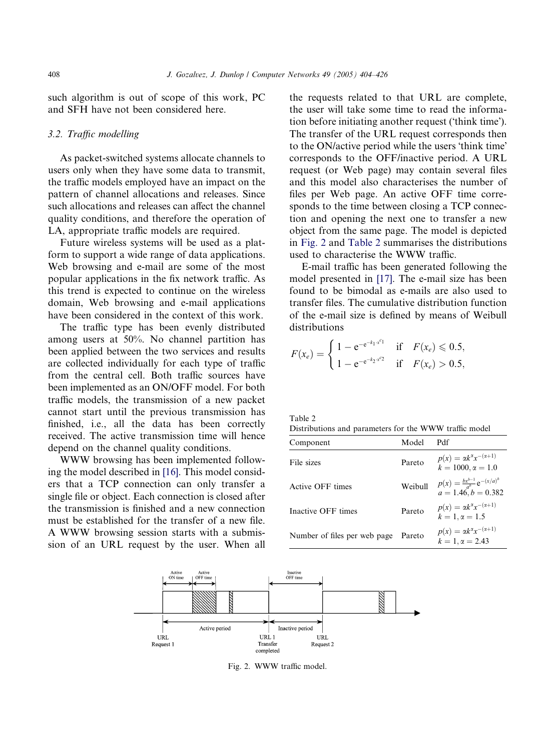such algorithm is out of scope of this work, PC and SFH have not been considered here.

## 3.2. Traffic modelling

As packet-switched systems allocate channels to users only when they have some data to transmit, the traffic models employed have an impact on the pattern of channel allocations and releases. Since such allocations and releases can affect the channel quality conditions, and therefore the operation of LA, appropriate traffic models are required.

Future wireless systems will be used as a platform to support a wide range of data applications. Web browsing and e-mail are some of the most popular applications in the fix network traffic. As this trend is expected to continue on the wireless domain, Web browsing and e-mail applications have been considered in the context of this work.

The traffic type has been evenly distributed among users at 50%. No channel partition has been applied between the two services and results are collected individually for each type of traffic from the central cell. Both traffic sources have been implemented as an ON/OFF model. For both traffic models, the transmission of a new packet cannot start until the previous transmission has finished, i.e., all the data has been correctly received. The active transmission time will hence depend on the channel quality conditions.

WWW browsing has been implemented following the model described in [\[16\]](#page-21-0). This model considers that a TCP connection can only transfer a single file or object. Each connection is closed after the transmission is finished and a new connection must be established for the transfer of a new file. A WWW browsing session starts with a submission of an URL request by the user. When all the requests related to that URL are complete, the user will take some time to read the information before initiating another request ('think time'). The transfer of the URL request corresponds then to the ON/active period while the users 'think time' corresponds to the OFF/inactive period. A URL request (or Web page) may contain several files and this model also characterises the number of files per Web page. An active OFF time corresponds to the time between closing a TCP connection and opening the next one to transfer a new object from the same page. The model is depicted in Fig. 2 and Table 2 summarises the distributions used to characterise the WWW traffic.

E-mail traffic has been generated following the model presented in [\[17\]](#page-21-0). The e-mail size has been found to be bimodal as e-mails are also used to transfer files. The cumulative distribution function of the e-mail size is defined by means of Weibull distributions

$$
F(x_e) = \begin{cases} 1 - e^{-e^{-k_1 \cdot x^{c_1}}} & \text{if } F(x_e) \le 0.5, \\ 1 - e^{-e^{-k_2 \cdot x^{c_2}}} & \text{if } F(x_e) > 0.5, \end{cases}
$$

| `able |  |
|-------|--|
|       |  |

|  | Distributions and parameters for the WWW traffic model |  |  |  |
|--|--------------------------------------------------------|--|--|--|

| Component                    | Model   | Pdf                                                                    |
|------------------------------|---------|------------------------------------------------------------------------|
| File sizes                   | Pareto  | $p(x) = \alpha k^{\alpha} x^{-(\alpha+1)}$<br>$k = 1000, \alpha = 1.0$ |
| Active OFF times             | Weibull | $p(x) = \frac{bx^{b-1}}{a^b} e^{-(x/a)^b}$<br>$a = 1.46, b = 0.382$    |
| Inactive OFF times           | Pareto  | $p(x) = \alpha k^{\alpha} x^{-(\alpha+1)}$<br>$k = 1, \alpha = 1.5$    |
| Number of files per web page | Pareto  | $p(x) = \alpha k^{\alpha} x^{-(\alpha+1)}$<br>$k = 1, \alpha = 2.43$   |



Fig. 2. WWW traffic model.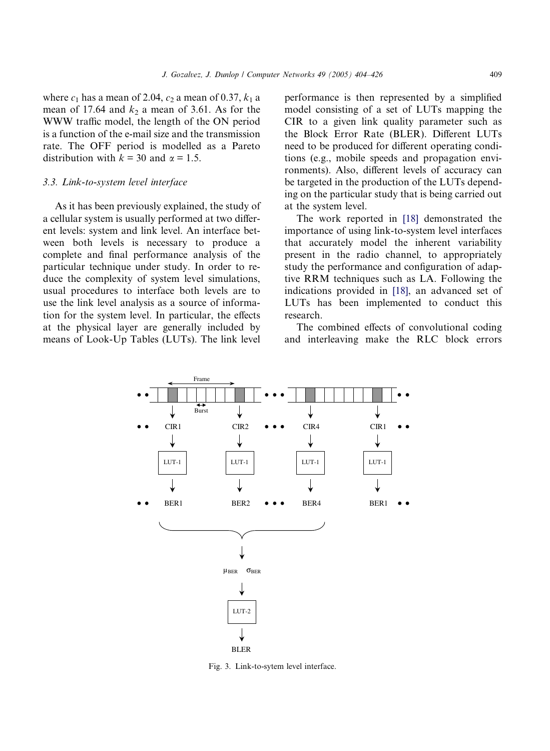<span id="page-5-0"></span>where  $c_1$  has a mean of 2.04,  $c_2$  a mean of 0.37,  $k_1$  a mean of 17.64 and  $k_2$  a mean of 3.61. As for the WWW traffic model, the length of the ON period is a function of the e-mail size and the transmission rate. The OFF period is modelled as a Pareto distribution with  $k = 30$  and  $\alpha = 1.5$ .

#### 3.3. Link-to-system level interface

As it has been previously explained, the study of a cellular system is usually performed at two different levels: system and link level. An interface between both levels is necessary to produce a complete and final performance analysis of the particular technique under study. In order to reduce the complexity of system level simulations, usual procedures to interface both levels are to use the link level analysis as a source of information for the system level. In particular, the effects at the physical layer are generally included by means of Look-Up Tables (LUTs). The link level performance is then represented by a simplified model consisting of a set of LUTs mapping the CIR to a given link quality parameter such as the Block Error Rate (BLER). Different LUTs need to be produced for different operating conditions (e.g., mobile speeds and propagation environments). Also, different levels of accuracy can be targeted in the production of the LUTs depending on the particular study that is being carried out at the system level.

The work reported in [\[18\]](#page-21-0) demonstrated the importance of using link-to-system level interfaces that accurately model the inherent variability present in the radio channel, to appropriately study the performance and configuration of adaptive RRM techniques such as LA. Following the indications provided in [\[18\]](#page-21-0), an advanced set of LUTs has been implemented to conduct this research.

The combined effects of convolutional coding and interleaving make the RLC block errors



Fig. 3. Link-to-sytem level interface.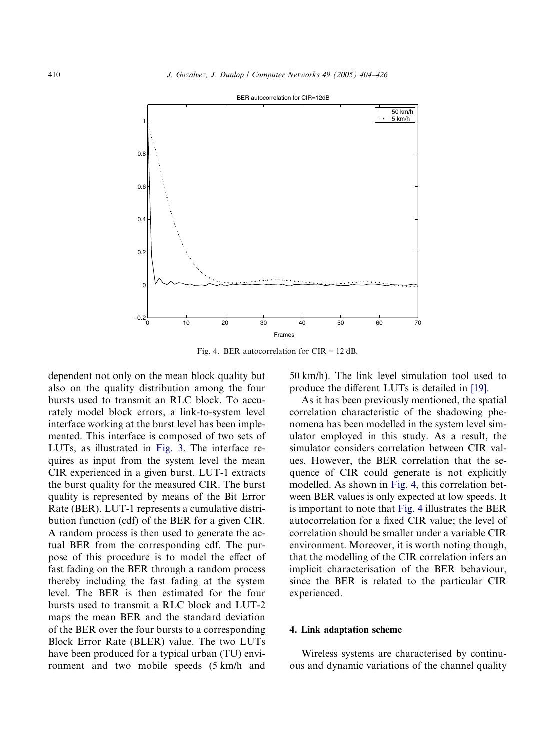<span id="page-6-0"></span>

Fig. 4. BER autocorrelation for CIR = 12 dB.

dependent not only on the mean block quality but also on the quality distribution among the four bursts used to transmit an RLC block. To accurately model block errors, a link-to-system level interface working at the burst level has been implemented. This interface is composed of two sets of LUTs, as illustrated in [Fig. 3.](#page-5-0) The interface requires as input from the system level the mean CIR experienced in a given burst. LUT-1 extracts the burst quality for the measured CIR. The burst quality is represented by means of the Bit Error Rate (BER). LUT-1 represents a cumulative distribution function (cdf) of the BER for a given CIR. A random process is then used to generate the actual BER from the corresponding cdf. The purpose of this procedure is to model the effect of fast fading on the BER through a random process thereby including the fast fading at the system level. The BER is then estimated for the four bursts used to transmit a RLC block and LUT-2 maps the mean BER and the standard deviation of the BER over the four bursts to a corresponding Block Error Rate (BLER) value. The two LUTs have been produced for a typical urban (TU) environment and two mobile speeds (5 km/h and

50 km/h). The link level simulation tool used to produce the different LUTs is detailed in [\[19\].](#page-21-0)

As it has been previously mentioned, the spatial correlation characteristic of the shadowing phenomena has been modelled in the system level simulator employed in this study. As a result, the simulator considers correlation between CIR values. However, the BER correlation that the sequence of CIR could generate is not explicitly modelled. As shown in Fig. 4, this correlation between BER values is only expected at low speeds. It is important to note that Fig. 4 illustrates the BER autocorrelation for a fixed CIR value; the level of correlation should be smaller under a variable CIR environment. Moreover, it is worth noting though, that the modelling of the CIR correlation infers an implicit characterisation of the BER behaviour, since the BER is related to the particular CIR experienced.

#### 4. Link adaptation scheme

Wireless systems are characterised by continuous and dynamic variations of the channel quality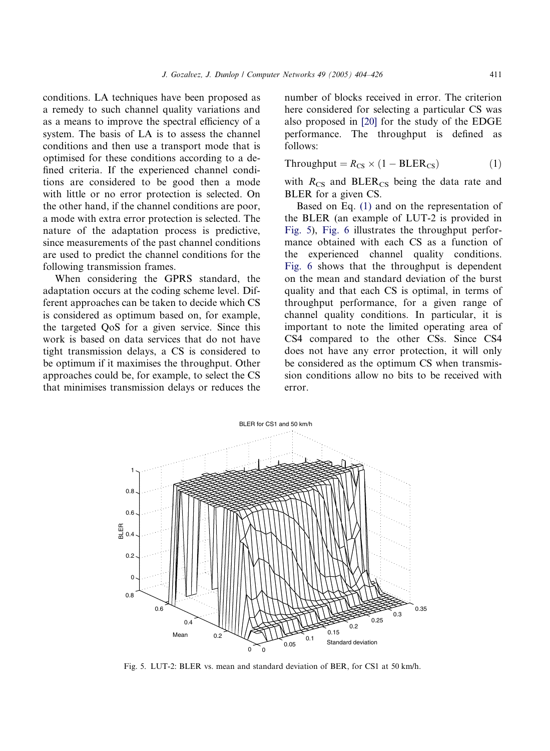conditions. LA techniques have been proposed as a remedy to such channel quality variations and as a means to improve the spectral efficiency of a system. The basis of LA is to assess the channel conditions and then use a transport mode that is optimised for these conditions according to a defined criteria. If the experienced channel conditions are considered to be good then a mode with little or no error protection is selected. On the other hand, if the channel conditions are poor, a mode with extra error protection is selected. The nature of the adaptation process is predictive, since measurements of the past channel conditions are used to predict the channel conditions for the following transmission frames.

When considering the GPRS standard, the adaptation occurs at the coding scheme level. Different approaches can be taken to decide which CS is considered as optimum based on, for example, the targeted QoS for a given service. Since this work is based on data services that do not have tight transmission delays, a CS is considered to be optimum if it maximises the throughput. Other approaches could be, for example, to select the CS that minimises transmission delays or reduces the number of blocks received in error. The criterion here considered for selecting a particular CS was also proposed in [\[20\]](#page-21-0) for the study of the EDGE performance. The throughput is defined as follows:

$$
Throughout = R_{CS} \times (1 - BLER_{CS})
$$
 (1)

with  $R_{CS}$  and BLER<sub>CS</sub> being the data rate and BLER for a given CS.

Based on Eq. (1) and on the representation of the BLER (an example of LUT-2 is provided in Fig. 5), [Fig. 6](#page-8-0) illustrates the throughput performance obtained with each CS as a function of the experienced channel quality conditions. [Fig. 6](#page-8-0) shows that the throughput is dependent on the mean and standard deviation of the burst quality and that each CS is optimal, in terms of throughput performance, for a given range of channel quality conditions. In particular, it is important to note the limited operating area of CS4 compared to the other CSs. Since CS4 does not have any error protection, it will only be considered as the optimum CS when transmission conditions allow no bits to be received with error.



Fig. 5. LUT-2: BLER vs. mean and standard deviation of BER, for CS1 at 50 km/h.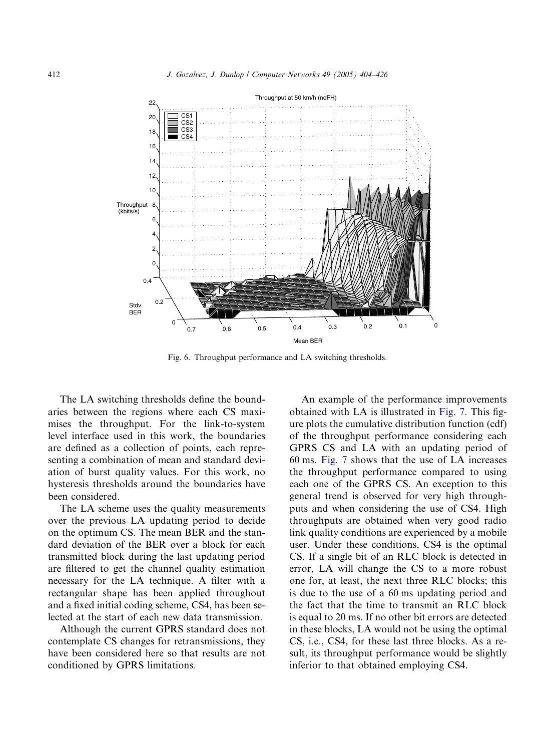<span id="page-8-0"></span>

Fig. 6. Throughput performance and LA switching thresholds.

The LA switching thresholds define the boundaries between the regions where each CS maximises the throughput. For the link-to-system level interface used in this work, the boundaries are defined as a collection of points, each representing a combination of mean and standard deviation of burst quality values. For this work, no hysteresis thresholds around the boundaries have been considered.

The LA scheme uses the quality measurements over the previous LA updating period to decide on the optimum CS. The mean BER and the standard deviation of the BER over a block for each transmitted block during the last updating period are filtered to get the channel quality estimation necessary for the LA technique. A filter with a rectangular shape has been applied throughout and a fixed initial coding scheme, CS4, has been selected at the start of each new data transmission.

Although the current GPRS standard does not contemplate CS changes for retransmissions, they have been considered here so that results are not conditioned by GPRS limitations.

An example of the performance improvements obtained with LA is illustrated in [Fig. 7.](#page-9-0) This figure plots the cumulative distribution function (cdf) of the throughput performance considering each GPRS CS and LA with an updating period of 60 ms. [Fig. 7](#page-9-0) shows that the use of LA increases the throughput performance compared to using each one of the GPRS CS. An exception to this general trend is observed for very high throughputs and when considering the use of CS4. High throughputs are obtained when very good radio link quality conditions are experienced by a mobile user. Under these conditions, CS4 is the optimal CS. If a single bit of an RLC block is detected in error, LA will change the CS to a more robust one for, at least, the next three RLC blocks; this is due to the use of a 60 ms updating period and the fact that the time to transmit an RLC block is equal to 20 ms. If no other bit errors are detected in these blocks, LA would not be using the optimal CS, i.e., CS4, for these last three blocks. As a result, its throughput performance would be slightly inferior to that obtained employing CS4.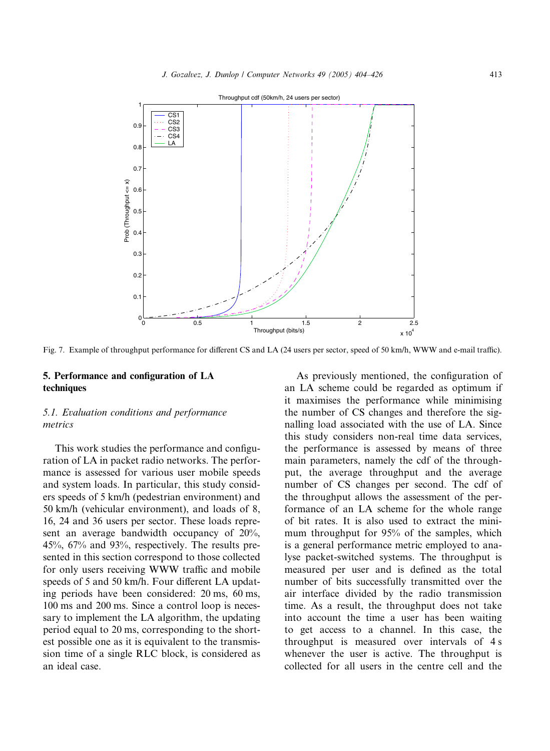<span id="page-9-0"></span>

Fig. 7. Example of throughput performance for different CS and LA (24 users per sector, speed of 50 km/h, WWW and e-mail traffic).

## 5. Performance and configuration of LA techniques

## 5.1. Evaluation conditions and performance metrics

This work studies the performance and configuration of LA in packet radio networks. The performance is assessed for various user mobile speeds and system loads. In particular, this study considers speeds of 5 km/h (pedestrian environment) and 50 km/h (vehicular environment), and loads of 8, 16, 24 and 36 users per sector. These loads represent an average bandwidth occupancy of 20%, 45%, 67% and 93%, respectively. The results presented in this section correspond to those collected for only users receiving WWW traffic and mobile speeds of 5 and 50 km/h. Four different LA updating periods have been considered: 20 ms, 60 ms, 100 ms and 200 ms. Since a control loop is necessary to implement the LA algorithm, the updating period equal to 20 ms, corresponding to the shortest possible one as it is equivalent to the transmission time of a single RLC block, is considered as an ideal case.

As previously mentioned, the configuration of an LA scheme could be regarded as optimum if it maximises the performance while minimising the number of CS changes and therefore the signalling load associated with the use of LA. Since this study considers non-real time data services, the performance is assessed by means of three main parameters, namely the cdf of the throughput, the average throughput and the average number of CS changes per second. The cdf of the throughput allows the assessment of the performance of an LA scheme for the whole range of bit rates. It is also used to extract the minimum throughput for 95% of the samples, which is a general performance metric employed to analyse packet-switched systems. The throughput is measured per user and is defined as the total number of bits successfully transmitted over the air interface divided by the radio transmission time. As a result, the throughput does not take into account the time a user has been waiting to get access to a channel. In this case, the throughput is measured over intervals of 4 s whenever the user is active. The throughput is collected for all users in the centre cell and the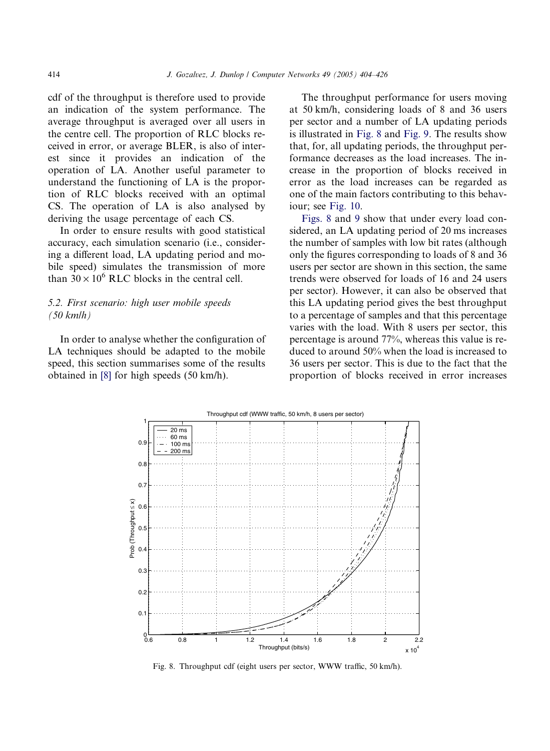<span id="page-10-0"></span>cdf of the throughput is therefore used to provide an indication of the system performance. The average throughput is averaged over all users in the centre cell. The proportion of RLC blocks received in error, or average BLER, is also of interest since it provides an indication of the operation of LA. Another useful parameter to understand the functioning of LA is the proportion of RLC blocks received with an optimal CS. The operation of LA is also analysed by deriving the usage percentage of each CS.

In order to ensure results with good statistical accuracy, each simulation scenario (i.e., considering a different load, LA updating period and mobile speed) simulates the transmission of more than  $30 \times 10^6$  RLC blocks in the central cell.

## 5.2. First scenario: high user mobile speeds (50 km/h)

In order to analyse whether the configuration of LA techniques should be adapted to the mobile speed, this section summarises some of the results obtained in [\[8\]](#page-21-0) for high speeds (50 km/h).

The throughput performance for users moving at 50 km/h, considering loads of 8 and 36 users per sector and a number of LA updating periods is illustrated in Fig. 8 and [Fig. 9](#page-11-0). The results show that, for, all updating periods, the throughput performance decreases as the load increases. The increase in the proportion of blocks received in error as the load increases can be regarded as one of the main factors contributing to this behaviour; see [Fig. 10](#page-11-0).

Figs. 8 and [9](#page-11-0) show that under every load considered, an LA updating period of 20 ms increases the number of samples with low bit rates (although only the figures corresponding to loads of 8 and 36 users per sector are shown in this section, the same trends were observed for loads of 16 and 24 users per sector). However, it can also be observed that this LA updating period gives the best throughput to a percentage of samples and that this percentage varies with the load. With 8 users per sector, this percentage is around 77%, whereas this value is reduced to around 50% when the load is increased to 36 users per sector. This is due to the fact that the proportion of blocks received in error increases



Fig. 8. Throughput cdf (eight users per sector, WWW traffic, 50 km/h).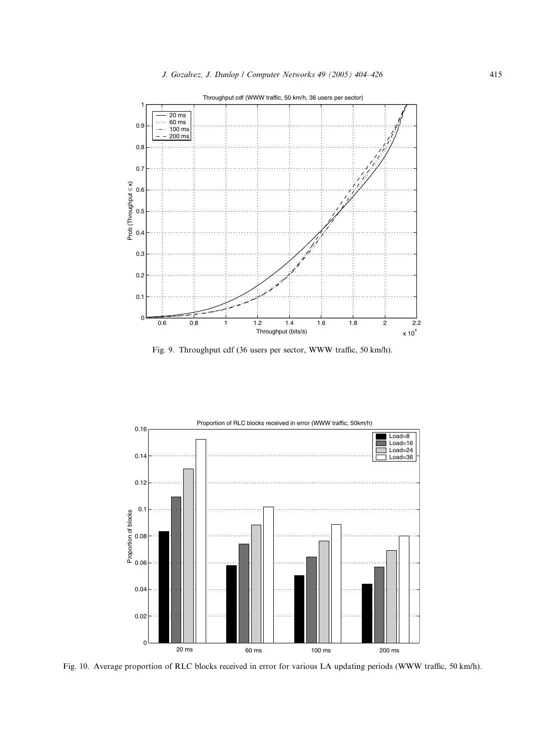<span id="page-11-0"></span>

Fig. 9. Throughput cdf (36 users per sector, WWW traffic, 50 km/h).



Fig. 10. Average proportion of RLC blocks received in error for various LA updating periods (WWW traffic, 50 km/h).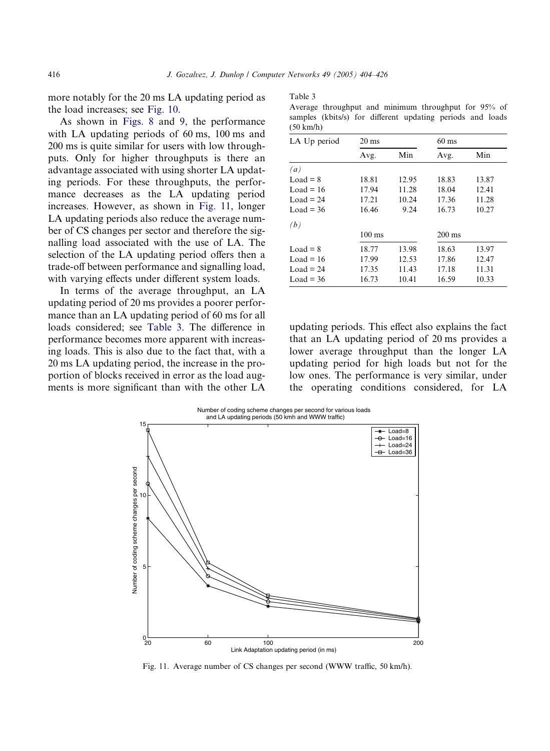<span id="page-12-0"></span>more notably for the 20 ms LA updating period as the load increases; see [Fig. 10](#page-11-0).

As shown in [Figs. 8](#page-10-0) and [9](#page-11-0), the performance with LA updating periods of 60 ms, 100 ms and 200 ms is quite similar for users with low throughputs. Only for higher throughputs is there an advantage associated with using shorter LA updating periods. For these throughputs, the performance decreases as the LA updating period increases. However, as shown in Fig. 11, longer LA updating periods also reduce the average number of CS changes per sector and therefore the signalling load associated with the use of LA. The selection of the LA updating period offers then a trade-off between performance and signalling load, with varying effects under different system loads.

In terms of the average throughput, an LA updating period of 20 ms provides a poorer performance than an LA updating period of 60 ms for all loads considered; see Table 3. The difference in performance becomes more apparent with increasing loads. This is also due to the fact that, with a 20 ms LA updating period, the increase in the proportion of blocks received in error as the load augments is more significant than with the other LA

| т. |  |
|----|--|
|    |  |

Average throughput and minimum throughput for 95% of samples (kbits/s) for different updating periods and loads (50 km/h)

| LA Up period | $20 \text{ ms}$  |       | $60 \text{ ms}$  |       |  |
|--------------|------------------|-------|------------------|-------|--|
|              | Avg.             | Min   | Avg.             | Min   |  |
| (a)          |                  |       |                  |       |  |
| $Load = 8$   | 18.81            | 12.95 | 18.83            | 13.87 |  |
| Load = $16$  | 17.94            | 11.28 | 18.04            | 12.41 |  |
| Load = $24$  | 17.21            | 10.24 | 17.36            | 11.28 |  |
| Load = $36$  | 16.46            | 9.24  | 16.73            | 10.27 |  |
| (b)          |                  |       |                  |       |  |
|              | $100 \text{ ms}$ |       | $200 \text{ ms}$ |       |  |
| $Load = 8$   | 18.77            | 13.98 | 18.63            | 13.97 |  |
| Load = $16$  | 17.99            | 12.53 | 17.86            | 12.47 |  |
| Load = $24$  | 17.35            | 11.43 | 17.18            | 11.31 |  |
| Load = $36$  | 16.73            | 10.41 | 16.59            | 10.33 |  |

updating periods. This effect also explains the fact that an LA updating period of 20 ms provides a lower average throughput than the longer LA updating period for high loads but not for the low ones. The performance is very similar, under the operating conditions considered, for LA



Fig. 11. Average number of CS changes per second (WWW traffic, 50 km/h).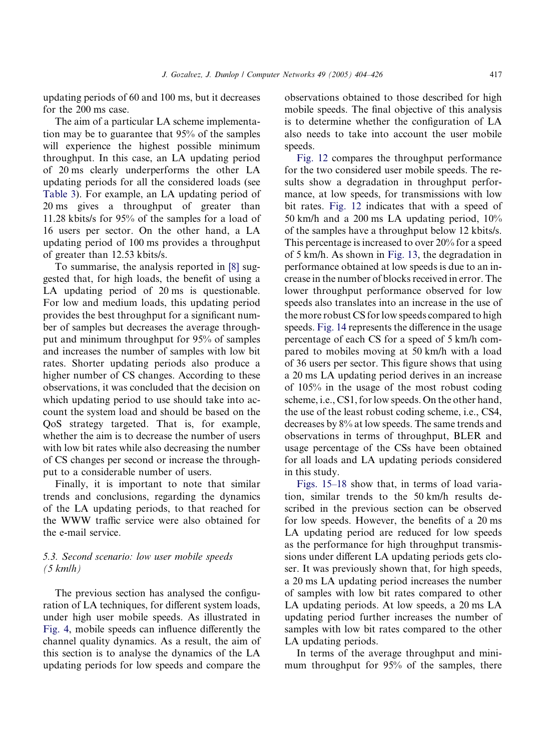updating periods of 60 and 100 ms, but it decreases for the 200 ms case.

The aim of a particular LA scheme implementation may be to guarantee that 95% of the samples will experience the highest possible minimum throughput. In this case, an LA updating period of 20 ms clearly underperforms the other LA updating periods for all the considered loads (see [Table 3](#page-12-0)). For example, an LA updating period of 20 ms gives a throughput of greater than 11.28 kbits/s for 95% of the samples for a load of 16 users per sector. On the other hand, a LA updating period of 100 ms provides a throughput of greater than 12.53 kbits/s.

To summarise, the analysis reported in [\[8\]](#page-21-0) suggested that, for high loads, the benefit of using a LA updating period of 20 ms is questionable. For low and medium loads, this updating period provides the best throughput for a significant number of samples but decreases the average throughput and minimum throughput for 95% of samples and increases the number of samples with low bit rates. Shorter updating periods also produce a higher number of CS changes. According to these observations, it was concluded that the decision on which updating period to use should take into account the system load and should be based on the QoS strategy targeted. That is, for example, whether the aim is to decrease the number of users with low bit rates while also decreasing the number of CS changes per second or increase the throughput to a considerable number of users.

Finally, it is important to note that similar trends and conclusions, regarding the dynamics of the LA updating periods, to that reached for the WWW traffic service were also obtained for the e-mail service.

## 5.3. Second scenario: low user mobile speeds (5 km/h)

The previous section has analysed the configuration of LA techniques, for different system loads, under high user mobile speeds. As illustrated in [Fig. 4](#page-6-0), mobile speeds can influence differently the channel quality dynamics. As a result, the aim of this section is to analyse the dynamics of the LA updating periods for low speeds and compare the observations obtained to those described for high mobile speeds. The final objective of this analysis is to determine whether the configuration of LA also needs to take into account the user mobile speeds.

[Fig. 12](#page-14-0) compares the throughput performance for the two considered user mobile speeds. The results show a degradation in throughput performance, at low speeds, for transmissions with low bit rates. [Fig. 12](#page-14-0) indicates that with a speed of 50 km/h and a 200 ms LA updating period, 10% of the samples have a throughput below 12 kbits/s. This percentage is increased to over 20% for a speed of 5 km/h. As shown in [Fig. 13](#page-14-0), the degradation in performance obtained at low speeds is due to an increase in the number of blocks received in error. The lower throughput performance observed for low speeds also translates into an increase in the use of the more robust CS for low speeds compared to high speeds. [Fig. 14](#page-15-0) represents the difference in the usage percentage of each CS for a speed of 5 km/h compared to mobiles moving at 50 km/h with a load of 36 users per sector. This figure shows that using a 20 ms LA updating period derives in an increase of 105% in the usage of the most robust coding scheme, i.e., CS1, for low speeds. On the other hand, the use of the least robust coding scheme, i.e., CS4, decreases by 8% at low speeds. The same trends and observations in terms of throughput, BLER and usage percentage of the CSs have been obtained for all loads and LA updating periods considered in this study.

[Figs. 15–18](#page-15-0) show that, in terms of load variation, similar trends to the 50 km/h results described in the previous section can be observed for low speeds. However, the benefits of a 20 ms LA updating period are reduced for low speeds as the performance for high throughput transmissions under different LA updating periods gets closer. It was previously shown that, for high speeds, a 20 ms LA updating period increases the number of samples with low bit rates compared to other LA updating periods. At low speeds, a 20 ms LA updating period further increases the number of samples with low bit rates compared to the other LA updating periods.

In terms of the average throughput and minimum throughput for 95% of the samples, there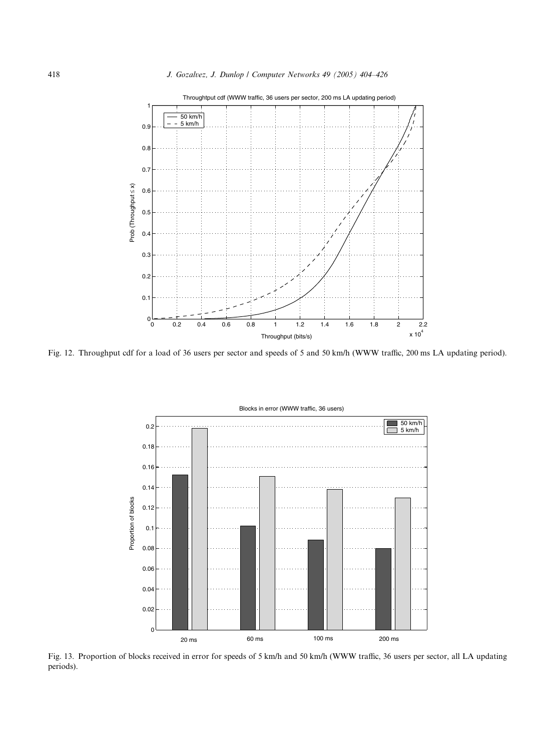<span id="page-14-0"></span>

Fig. 12. Throughput cdf for a load of 36 users per sector and speeds of 5 and 50 km/h (WWW traffic, 200 ms LA updating period).



Fig. 13. Proportion of blocks received in error for speeds of 5 km/h and 50 km/h (WWW traffic, 36 users per sector, all LA updating periods).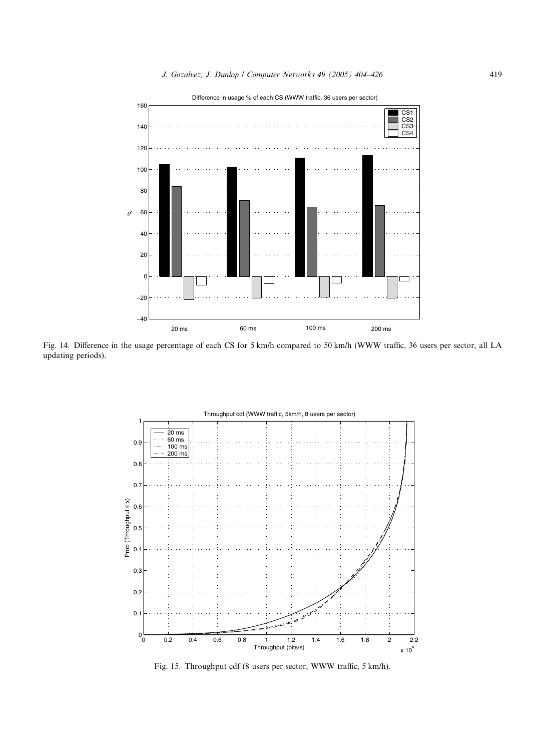Difference in usage % of each CS (WWW traffic, 36 users per sector)

<span id="page-15-0"></span>

Fig. 14. Difference in the usage percentage of each CS for 5 km/h compared to 50 km/h (WWW traffic, 36 users per sector, all LA updating periods).



Fig. 15. Throughput cdf (8 users per sector, WWW traffic, 5 km/h).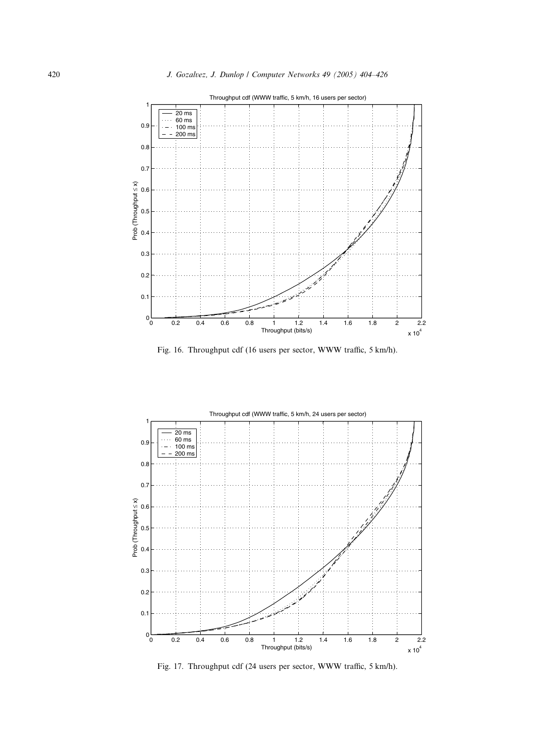

Fig. 16. Throughput cdf (16 users per sector, WWW traffic, 5 km/h).



Fig. 17. Throughput cdf (24 users per sector, WWW traffic, 5 km/h).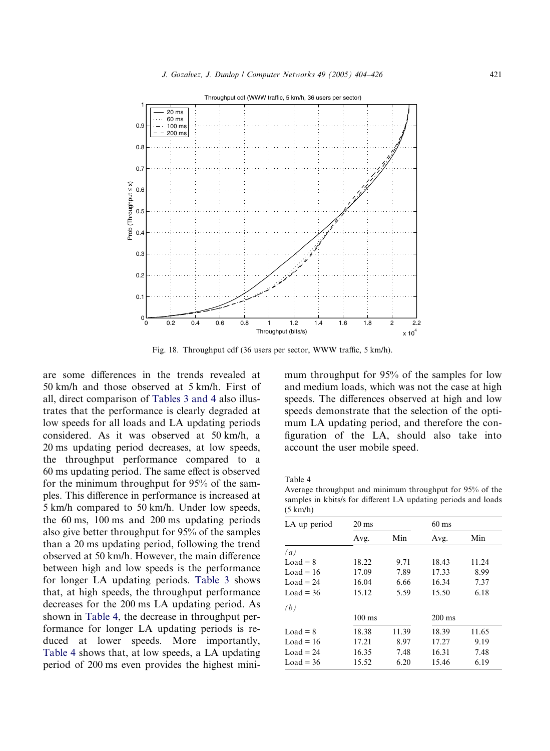

Fig. 18. Throughput cdf (36 users per sector, WWW traffic, 5 km/h).

are some differences in the trends revealed at 50 km/h and those observed at 5 km/h. First of all, direct comparison of [Tables 3 and 4](#page-12-0) also illustrates that the performance is clearly degraded at low speeds for all loads and LA updating periods considered. As it was observed at 50 km/h, a 20 ms updating period decreases, at low speeds, the throughput performance compared to a 60 ms updating period. The same effect is observed for the minimum throughput for 95% of the samples. This difference in performance is increased at 5 km/h compared to 50 km/h. Under low speeds, the 60 ms, 100 ms and 200 ms updating periods also give better throughput for 95% of the samples than a 20 ms updating period, following the trend observed at 50 km/h. However, the main difference between high and low speeds is the performance for longer LA updating periods. [Table 3](#page-12-0) shows that, at high speeds, the throughput performance decreases for the 200 ms LA updating period. As shown in Table 4, the decrease in throughput performance for longer LA updating periods is reduced at lower speeds. More importantly, Table 4 shows that, at low speeds, a LA updating period of 200 ms even provides the highest minimum throughput for 95% of the samples for low and medium loads, which was not the case at high speeds. The differences observed at high and low speeds demonstrate that the selection of the optimum LA updating period, and therefore the configuration of the LA, should also take into account the user mobile speed.

Table 4

Average throughput and minimum throughput for 95% of the samples in kbits/s for different LA updating periods and loads (5 km/h)

| LA up period | $20 \text{ ms}$  |       | $60$ ms          |       |  |
|--------------|------------------|-------|------------------|-------|--|
|              | Avg.             | Min   | Avg.             | Min   |  |
| (a)          |                  |       |                  |       |  |
| $Load = 8$   | 18.22            | 9.71  | 18.43            | 11.24 |  |
| Load = $16$  | 17.09            | 7.89  | 17.33            | 8.99  |  |
| Load = $24$  | 16.04            | 6.66  | 16.34            | 7.37  |  |
| Load = $36$  | 15.12            | 5.59  | 15.50            | 6.18  |  |
| (b)          |                  |       |                  |       |  |
|              | $100 \text{ ms}$ |       | $200 \text{ ms}$ |       |  |
| $Load = 8$   | 18.38            | 11.39 | 18.39            | 11.65 |  |
| Load = $16$  | 17.21            | 8.97  | 17.27            | 9.19  |  |
| $Load = 24$  | 16.35            | 7.48  | 16.31            | 7.48  |  |
| Load = $36$  | 15.52            | 6.20  | 15.46            | 6.19  |  |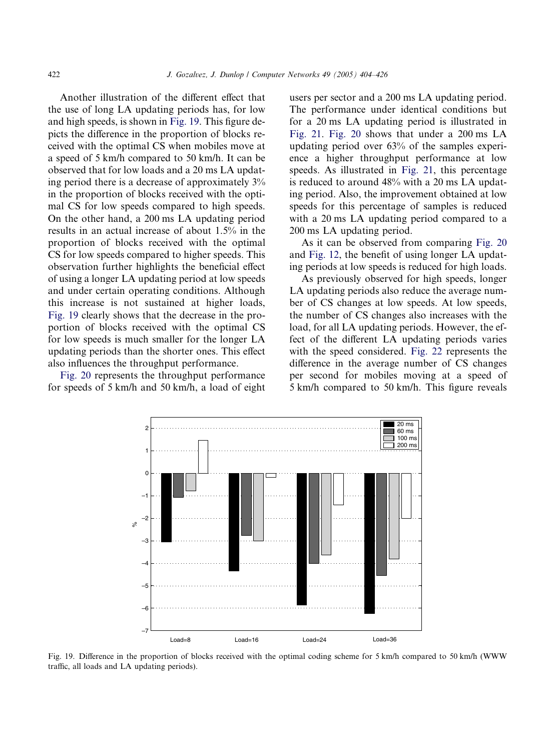Another illustration of the different effect that the use of long LA updating periods has, for low and high speeds, is shown in Fig. 19. This figure depicts the difference in the proportion of blocks received with the optimal CS when mobiles move at a speed of 5 km/h compared to 50 km/h. It can be observed that for low loads and a 20 ms LA updating period there is a decrease of approximately 3% in the proportion of blocks received with the optimal CS for low speeds compared to high speeds. On the other hand, a 200 ms LA updating period results in an actual increase of about 1.5% in the proportion of blocks received with the optimal CS for low speeds compared to higher speeds. This observation further highlights the beneficial effect of using a longer LA updating period at low speeds and under certain operating conditions. Although this increase is not sustained at higher loads, Fig. 19 clearly shows that the decrease in the proportion of blocks received with the optimal CS for low speeds is much smaller for the longer LA updating periods than the shorter ones. This effect also influences the throughput performance.

[Fig. 20](#page-19-0) represents the throughput performance for speeds of 5 km/h and 50 km/h, a load of eight users per sector and a 200 ms LA updating period. The performance under identical conditions but for a 20 ms LA updating period is illustrated in [Fig. 21](#page-19-0). [Fig. 20](#page-19-0) shows that under a 200 ms LA updating period over 63% of the samples experience a higher throughput performance at low speeds. As illustrated in [Fig. 21,](#page-19-0) this percentage is reduced to around 48% with a 20 ms LA updating period. Also, the improvement obtained at low speeds for this percentage of samples is reduced with a 20 ms LA updating period compared to a 200 ms LA updating period.

As it can be observed from comparing [Fig. 20](#page-19-0) and [Fig. 12,](#page-14-0) the benefit of using longer LA updating periods at low speeds is reduced for high loads.

As previously observed for high speeds, longer LA updating periods also reduce the average number of CS changes at low speeds. At low speeds, the number of CS changes also increases with the load, for all LA updating periods. However, the effect of the different LA updating periods varies with the speed considered. [Fig. 22](#page-20-0) represents the difference in the average number of CS changes per second for mobiles moving at a speed of 5 km/h compared to 50 km/h. This figure reveals



Fig. 19. Difference in the proportion of blocks received with the optimal coding scheme for 5 km/h compared to 50 km/h (WWW traffic, all loads and LA updating periods).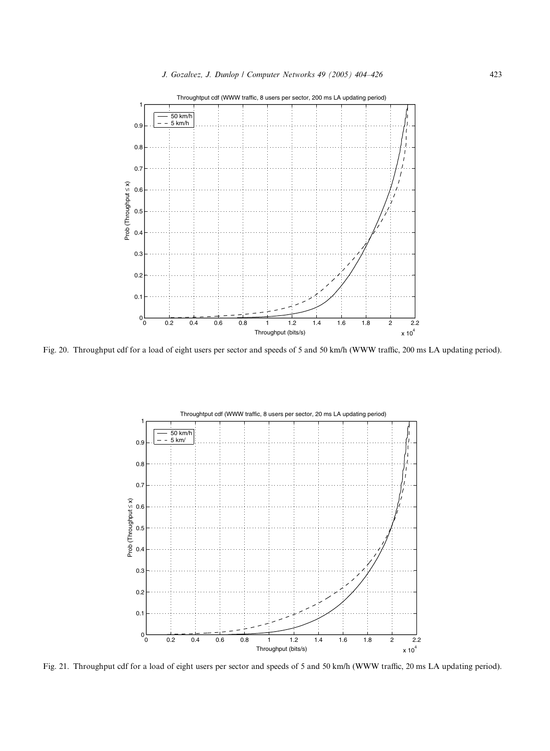<span id="page-19-0"></span>

Fig. 20. Throughput cdf for a load of eight users per sector and speeds of 5 and 50 km/h (WWW traffic, 200 ms LA updating period).



Fig. 21. Throughput cdf for a load of eight users per sector and speeds of 5 and 50 km/h (WWW traffic, 20 ms LA updating period).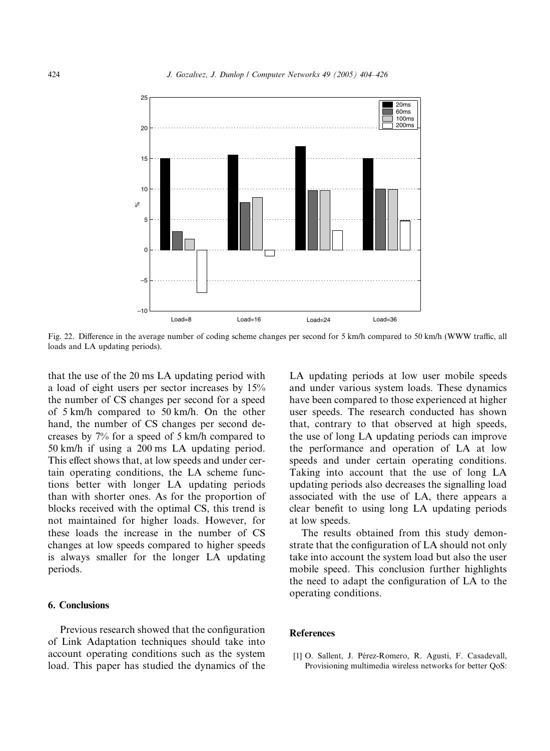<span id="page-20-0"></span>

Fig. 22. Difference in the average number of coding scheme changes per second for 5 km/h compared to 50 km/h (WWW traffic, all loads and LA updating periods).

that the use of the 20 ms LA updating period with a load of eight users per sector increases by 15% the number of CS changes per second for a speed of 5 km/h compared to 50 km/h. On the other hand, the number of CS changes per second decreases by 7% for a speed of 5 km/h compared to 50 km/h if using a 200 ms LA updating period. This effect shows that, at low speeds and under certain operating conditions, the LA scheme functions better with longer LA updating periods than with shorter ones. As for the proportion of blocks received with the optimal CS, this trend is not maintained for higher loads. However, for these loads the increase in the number of CS changes at low speeds compared to higher speeds is always smaller for the longer LA updating periods.

## 6. Conclusions

Previous research showed that the configuration of Link Adaptation techniques should take into account operating conditions such as the system load. This paper has studied the dynamics of the LA updating periods at low user mobile speeds and under various system loads. These dynamics have been compared to those experienced at higher user speeds. The research conducted has shown that, contrary to that observed at high speeds, the use of long LA updating periods can improve the performance and operation of LA at low speeds and under certain operating conditions. Taking into account that the use of long LA updating periods also decreases the signalling load associated with the use of LA, there appears a clear benefit to using long LA updating periods at low speeds.

The results obtained from this study demonstrate that the configuration of LA should not only take into account the system load but also the user mobile speed. This conclusion further highlights the need to adapt the configuration of LA to the operating conditions.

#### References

[1] O. Sallent, J. Pérez-Romero, R. Agusti, F. Casadevall, Provisioning multimedia wireless networks for better QoS: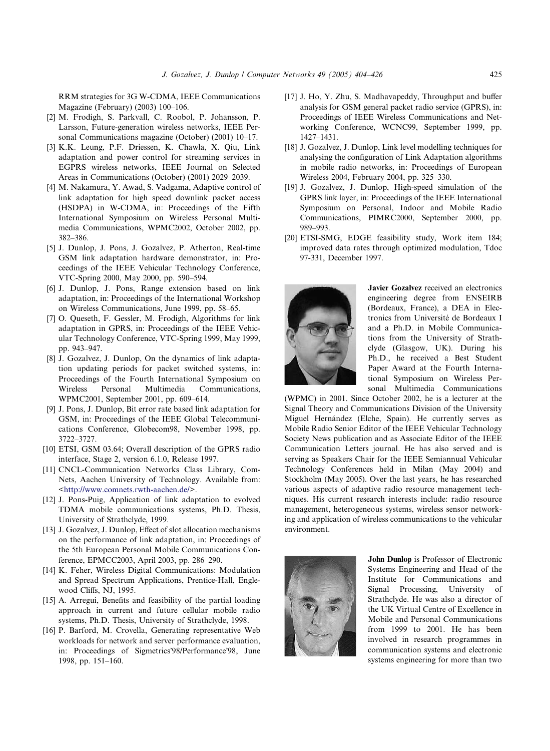<span id="page-21-0"></span>RRM strategies for 3G W-CDMA, IEEE Communications Magazine (February) (2003) 100–106.

- [2] M. Frodigh, S. Parkvall, C. Roobol, P. Johansson, P. Larsson, Future-generation wireless networks, IEEE Personal Communications magazine (October) (2001) 10–17.
- [3] K.K. Leung, P.F. Driessen, K. Chawla, X. Qiu, Link adaptation and power control for streaming services in EGPRS wireless networks, IEEE Journal on Selected Areas in Communications (October) (2001) 2029–2039.
- [4] M. Nakamura, Y. Awad, S. Vadgama, Adaptive control of link adaptation for high speed downlink packet access (HSDPA) in W-CDMA, in: Proceedings of the Fifth International Symposium on Wireless Personal Multimedia Communications, WPMC2002, October 2002, pp. 382–386.
- [5] J. Dunlop, J. Pons, J. Gozalvez, P. Atherton, Real-time GSM link adaptation hardware demonstrator, in: Proceedings of the IEEE Vehicular Technology Conference, VTC-Spring 2000, May 2000, pp. 590–594.
- [6] J. Dunlop, J. Pons, Range extension based on link adaptation, in: Proceedings of the International Workshop on Wireless Communications, June 1999, pp. 58–65.
- [7] O. Queseth, F. Gessler, M. Frodigh, Algorithms for link adaptation in GPRS, in: Proceedings of the IEEE Vehicular Technology Conference, VTC-Spring 1999, May 1999, pp. 943–947.
- [8] J. Gozalvez, J. Dunlop, On the dynamics of link adaptation updating periods for packet switched systems, in: Proceedings of the Fourth International Symposium on Wireless Personal Multimedia Communications, WPMC2001, September 2001, pp. 609–614.
- [9] J. Pons, J. Dunlop, Bit error rate based link adaptation for GSM, in: Proceedings of the IEEE Global Telecommunications Conference, Globecom98, November 1998, pp. 3722–3727.
- [10] ETSI, GSM 03.64; Overall description of the GPRS radio interface, Stage 2, version 6.1.0, Release 1997.
- [11] CNCL-Communication Networks Class Library, Com-Nets, Aachen University of Technology. Available from: [<http://www.comnets.rwth-aachen.de/>](http://www.comnets.rwth-aachen.de/).
- [12] J. Pons-Puig, Application of link adaptation to evolved TDMA mobile communications systems, Ph.D. Thesis, University of Strathclyde, 1999.
- [13] J. Gozalvez, J. Dunlop, Effect of slot allocation mechanisms on the performance of link adaptation, in: Proceedings of the 5th European Personal Mobile Communications Conference, EPMCC2003, April 2003, pp. 286–290.
- [14] K. Feher, Wireless Digital Communications: Modulation and Spread Spectrum Applications, Prentice-Hall, Englewood Cliffs, NJ, 1995.
- [15] A. Arregui, Benefits and feasibility of the partial loading approach in current and future cellular mobile radio systems, Ph.D. Thesis, University of Strathclyde, 1998.
- [16] P. Barford, M. Crovella, Generating representative Web workloads for network and server performance evaluation, in: Proceedings of Sigmetrics'98/Performance'98, June 1998, pp. 151–160.
- [17] J. Ho, Y. Zhu, S. Madhavapeddy, Throughput and buffer analysis for GSM general packet radio service (GPRS), in: Proceedings of IEEE Wireless Communications and Networking Conference, WCNC99, September 1999, pp. 1427–1431.
- [18] J. Gozalvez, J. Dunlop, Link level modelling techniques for analysing the configuration of Link Adaptation algorithms in mobile radio networks, in: Proceedings of European Wireless 2004, February 2004, pp. 325–330.
- [19] J. Gozalvez, J. Dunlop, High-speed simulation of the GPRS link layer, in: Proceedings of the IEEE International Symposium on Personal, Indoor and Mobile Radio Communications, PIMRC2000, September 2000, pp. 989–993.
- [20] ETSI-SMG, EDGE feasibility study, Work item 184; improved data rates through optimized modulation, Tdoc 97-331, December 1997.



Javier Gozalvez received an electronics engineering degree from ENSEIRB (Bordeaux, France), a DEA in Electronics from Université de Bordeaux I and a Ph.D. in Mobile Communications from the University of Strathclyde (Glasgow, UK). During his Ph.D., he received a Best Student Paper Award at the Fourth International Symposium on Wireless Personal Multimedia Communications

(WPMC) in 2001. Since October 2002, he is a lecturer at the Signal Theory and Communications Division of the University Miguel Hernández (Elche, Spain). He currently serves as Mobile Radio Senior Editor of the IEEE Vehicular Technology Society News publication and as Associate Editor of the IEEE Communication Letters journal. He has also served and is serving as Speakers Chair for the IEEE Semiannual Vehicular Technology Conferences held in Milan (May 2004) and Stockholm (May 2005). Over the last years, he has researched various aspects of adaptive radio resource management techniques. His current research interests include: radio resource management, heterogeneous systems, wireless sensor networking and application of wireless communications to the vehicular environment.



John Dunlop is Professor of Electronic Systems Engineering and Head of the Institute for Communications and Signal Processing, University of Strathclyde. He was also a director of the UK Virtual Centre of Excellence in Mobile and Personal Communications from 1999 to 2001. He has been involved in research programmes in communication systems and electronic systems engineering for more than two